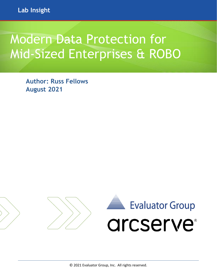# Modern Data Protection for Mid-Sized Enterprises & ROBO

**Author: Russ Fellows August 2021**

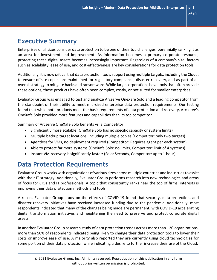# **Executive Summary**

Enterprises of all sizes consider data protection to be one of their top challenges, perennially ranking it as an area for investment and improvement. As information becomes a primary corporate resource, protecting these digital assets becomes increasingly important. Regardless of a company's size, factors such as scalability, ease of use, and cost-effectiveness are key considerations for data protection tools.

Additionally, it is now critical that data protection tools support using multiple targets, including the Cloud, to ensure offsite copies are maintained for regulatory compliance, disaster recovery, and as part of an overall strategy to mitigate hacks and ransomware. While large corporations have tools that often provide these options, these products have often been complex, costly, or not suited for smaller enterprises.

Evaluator Group was engaged to test and analyze Arcserve OneXafe Solo and a leading competitor from the standpoint of their ability to meet mid-sized enterprise data protection requirements. Our testing found that while both products meet the basic requirements of data protection and recovery, Arcserve's OneXafe Solo provided more features and capabilities than its top competitor.

Summary of Arcserve OneXafe Solo benefits vs. a Competitor:

- Significantly more scalable (OneXafe Solo has no specific capacity or system limits)
- $\mathbf{E}^{(1)}$ Multiple backup target locations, including multiple copies (Competitor: only two targets)
- Agentless for VMs, no deployment required (Competitor: Requires agent per each system)
- $\mathbf{u} = \mathbf{0}$ Able to protect far more systems (OneXafe Solo: no limits, Competitor: limit of 4 systems)
- $\blacksquare$ Instant VM recovery is significantly faster: (Solo: Seconds, Competitor: up to 1 hour)

# **Data Protection Requirements**

Evaluator Group works with organizations of various sizes across multiple countries and industries to assist with their IT strategy. Additionally, Evaluator Group performs research into new technologies and areas of focus for CIOs and IT professionals. A topic that consistently ranks near the top of firms' interests is improving their data protection methods and tools.

A recent Evaluator Group study on the effects of COVID-19 found that security, data protection, and disaster recovery initiatives have received increased funding due to the pandemic. Additionally, most respondents indicated that many of the changes being made are permanent, with COVID-19 accelerating digital transformation initiatives and heightening the need to preserve and protect corporate digital assets.

In another Evaluator Group research study of data protection trends across more than 120 organizations, more than 50% of respondents indicated being likely to change their data protection tools to lower their costs or improve ease of use. A majority also reported they are currently using cloud technologies for some portion of their data protection while indicating a desire to further increase their use of the Cloud.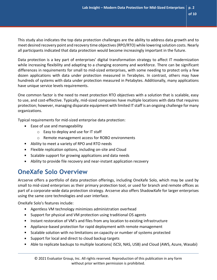This study also indicates the top data protection challenges are the ability to address data growth and to meet desired recovery point and recovery time objectives (RPO/RTO) while lowering solution costs. Nearly all participants indicated that data protection would become increasingly important in the future.

Data protection is a key part of enterprises' digital transformation strategy to affect IT modernization while increasing flexibility and adapting to a changing economy and workforce. There can be significant differences in requirements for small to mid-sized enterprises, with some needing to protect only a few dozen applications with data under protection measured in Terabytes. In contrast, others may have hundreds of systems with data under protection measured in Petabytes. Additionally, many applications have unique service levels requirements.

One common factor is the need to meet protection RTO objectives with a solution that is scalable, easy to use, and cost-effective. Typically, mid-sized companies have multiple locations with data that requires protection; however, managing disparate equipment with limited IT staff is an ongoing challenge for many organizations.

Typical requirements for mid-sized enterprise data protection:

- $\mathbf{u} = \mathbf{0}$ Ease of use and manageability
	- o Easy to deploy and use for IT staff
	- o Remote management access for ROBO environments
- Ability to meet a variety of RPO and RTO needs
- Flexible replication options, including on-site and Cloud
- $\mathbf{m}$ Scalable support for growing applications and data needs
- Ability to provide file recovery and near-instant application recovery

# **OneXafe Solo Overview**

Arcserve offers a portfolio of data protection offerings, including OneXafe Solo, which may be used by small to mid-sized enterprises as their primary protection tool, or used for branch and remote offices as part of a corporate-wide data protection strategy. Arcserve also offers ShadowXafe for larger enterprises using the same core technologies and user interface.

OneXafe Solo's features include:

- $\mathbf{u}$  . Agentless VM technology minimizes administration overhead
- $\mathbf{m}$  ,  $\mathbf{m}$ Support for physical and VM protection using traditional OS agents
- Instant restoration of VM's and files from any location to existing infrastructure
- $\mathbf{m}_{\mathrm{max}}$ Appliance-based protection for rapid deployment with remote management
- Scalable solution with no limitations on capacity or number of systems protected  $\mathbf{m} = 0$
- **Support for local and direct to cloud backup targets**
- Able to replicate backups to multiple locations( iSCSI, NAS, USB) and Cloud (AWS, Azure, Wasabi)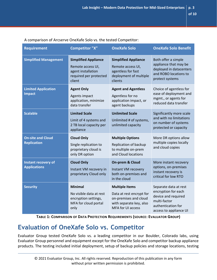### A comparison of Arcserve OneXafe Solo vs. the tested Competitor:

| <b>Requirement</b>                             | <b>Competitor "X"</b>                                                                                      | <b>OneXafe Solo</b>                                                                                                        | <b>OneXafe Solo Benefit</b>                                                                                                         |
|------------------------------------------------|------------------------------------------------------------------------------------------------------------|----------------------------------------------------------------------------------------------------------------------------|-------------------------------------------------------------------------------------------------------------------------------------|
| <b>Simplified Management</b>                   | <b>Simplified Appliance</b><br>Remote access UI,<br>agent installation<br>required per protected<br>client | <b>Simplified Appliance</b><br>Remote access UI,<br>agentless for fast<br>deployment of multiple<br>clients                | Both offer a simple<br>appliance that may be<br>deployed in datacenters<br>and ROBO locations to<br>protect systems                 |
| <b>Limited Application</b><br><b>Impact</b>    | <b>Agent Only</b><br>Agents impact<br>application, minimize<br>data transfer                               | <b>Agent and Agentless</b><br>Agentless for no<br>application impact, or<br>agent backups                                  | Choice of agentless for<br>ease of deployment and<br>mgmt., or agents for<br>reduced data transfer                                  |
| <b>Scalable</b>                                | <b>Limited Scale</b><br>Limit of 4 systems and<br>2 TB local capacity per<br>appliance                     | <b>Unlimited Scale</b><br>Unlimited # of systems,<br>unlimited capacity                                                    | Significantly more scale<br>and with no limitations<br>on number of systems<br>protected or capacity                                |
| <b>On-site and Cloud</b><br><b>Replication</b> | <b>Cloud Only</b><br>Single replication to<br>proprietary cloud is<br>only DR option                       | <b>Multiple Options</b><br>Replication of backup<br>to multiple on-prem<br>and Cloud locations                             | More DR options allow<br>multiple copies locally<br>and cloud copies                                                                |
| Instant recovery of<br><b>Applications</b>     | <b>Cloud Only</b><br>Instant VM recovery in<br>proprietary Cloud only                                      | On-prem & Cloud<br>Instant VM recovery<br>both on-premises and<br>in the cloud                                             | More instant recovery<br>options, on-premises<br>instant recovery is<br>critical for low RTO                                        |
| <b>Security</b>                                | <b>Minimal</b><br>No visible data at rest<br>encryption settings,<br>MFA for cloud portal<br>only          | <b>Multiple Items</b><br>Data at rest encrypt for<br>on-premises and cloud<br>with separate key, also<br>MFA for UI access | Separate data at rest<br>encryption for each<br>device and required<br>multi-factor<br>authentication for<br>access to appliance UI |

**TABLE 1: COMPARISON OF DATA PROTECTION REQUIREMENTS (SOURCE: EVALUATOR GROUP)**

# **Evaluation of OneXafe Solo vs. Competitor**

Evaluator Group tested OneXafe Solo vs. a leading competitor in our Boulder, Colorado labs, using Evaluator Group personnel and equipment except for the OneXafe Solo and competitor backup appliance products. The testing included initial deployment, setup of backup policies and storage locations, testing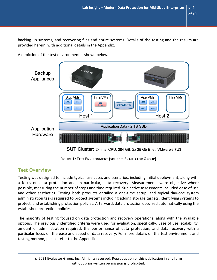backing up systems, and recovering files and entire systems. Details of the testing and the results are provided herein, with additional details in the Appendix.

arcserve **Backup** Appliances App VMs Infra VMs App VMs Infra VMs  $VM1$ VM<sub>2</sub>  $VM3$  $VM4$ **CIFS** CIFS 48 TB Serve  $VM5$ VM<sub>6</sub> VM7  $VM8$ Host 1 Host 2 **Application Data - 2 TB SSD** Application Hardware

A depiction of the test environment is shown below.

SUT Cluster: 2x Intel CPU, 384 GB; 2x 25 Gb Enet; VMware 6.7U3

**FIGURE 1: TEST ENVIRONMENT (SOURCE: EVALUATOR GROUP)**

## **Test Overview**

Testing was designed to include typical use cases and scenarios, including initial deployment, along with a focus on data protection and, in particular, data recovery. Measurements were objective where possible, measuring the number of steps and time required. Subjective assessments included ease of use and other aesthetics. Testing both products entailed a one-time setup, and typical day-one system administration tasks required to protect systems including adding storage targets, identifying systems to protect, and establishing protection policies. Afterward, data protection occurred automatically using the established protection policies.

The majority of testing focused on data protection and recovery operations, along with the available options. The previously identified criteria were used for evaluation, specifically: Ease of use, scalability, amount of administration required, the performance of data protection, and data recovery with a particular focus on the ease and speed of data recovery. For more details on the test environment and testing method, please refer to the Appendix.

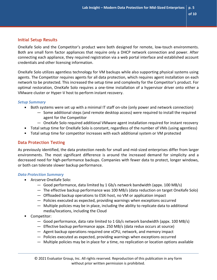### **Initial Setup Results**

OneXafe Solo and the Competitor's product were both designed for remote, low-touch environments. Both are small form factor appliances that require only a DHCP network connection and power. After connecting each appliance, they required registration via a web portal interface and established account credentials and other licensing information.

OneXafe Solo utilizes agentless technology for VM backups while also supporting physical systems using agents. The Competitor requires agents for all data protection, which requires agent installation on each network to be protected. This increased the setup time and complexity for the Competitor's product. For optimal restoration, OneXafe Solo requires a one-time installation of a hypervisor driver onto either a VMware cluster or Hyper-V host to perform instant recovery.

#### *Setup Summary*

- Both systems were set up with a minimal IT staff on-site (only power and network connection)
	- Some additional steps (and remote desktop access) were required to install the required agent for the Competitor
	- OneXafe Solo required additional VMware agent installation required for instant recovery
- Total setup time for OneXafe Solo is constant, regardless of the number of VMs (using agentless)
- Total setup time for competitor increases with each additional system or VM protected

#### **Data Protection Testing**

As previously identified, the data protection needs for small and mid-sized enterprises differ from larger environments. The most significant difference is around the increased demand for simplicity and a decreased need for high-performance backups. Companies with fewer data to protect, longer windows, or both can tolerate slower backup performance.

#### *Data Protection Summary*

- Arcserve OneXafe Solo:
	- Good performance, data limited by 1 Gb/s network bandwidth (appx. 100 MB/s)
	- The effective backup performance was 100 MB/s (data reduction on target OneXafe Solo)
	- Offloaded backup operations to ESXi host, no VM or application impact
	- Policies executed as expected, providing warnings when exceptions occurred
	- Multiple policies may be in place, including the ability to replicate data to additional media/locations, including the Cloud
- Competitor:
	- Good performance, data rate limited to 1 Gb/s network bandwidth (appx. 100 MB/s)
	- Effective backup performance appx. 250 MB/s (data redux occurs at source)
	- Agent backup operations required one vCPU, network, and memory impact
	- Policies executed as expected, providing warnings when exceptions occurred
	- Multiple policies may be in place for a time, no replication or location options available

© 2021 Evaluator Group, Inc. All rights reserved. Reproduction of this publication in any form without prior written permission is prohibited.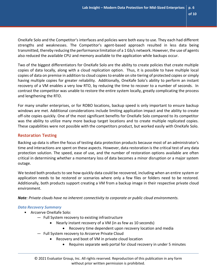OneXafe Solo and the Competitor's interfaces and policies were both easy to use. They each had different strengths and weaknesses. The Competitor's agent-based approach resulted in less data being transmitted, thereby reducing the performance limitation of a 1 Gb/s network. However, the use of agents also reduced the available CPU and memory available to the application while backups occur.

Two of the biggest differentiators for OneXafe Solo are the ability to create policies that create multiple copies of data locally, along with a cloud replication option. Thus, it is possible to have multiple local copies of data on premise in addition to cloud copies to enable on site tiering of protected copies or simply having multiple copies for greater reliability. Additionally, OneXafe Solo's ability to perform an instant recovery of a VM enables a very low RTO, by reducing the time to recover to a number of seconds. In contrast the competitor was unable to restore the entire system locally, greatly complicating the process and lengthening the RTO.

For many smaller enterprises, or for ROBO locations, backup speed is only important to ensure backup windows are met. Additional considerations include limiting application impact and the ability to create off-site copies quickly. One of the most significant benefits for OneXafe Solo compared to its competitor was the ability to utilize many more backup target locations and to create multiple replicated copies. These capabilities were not possible with the competitors product, but worked easily with OneXafe Solo.

#### **Restoration Testing**

Backing up data is often the focus of testing data protection products because most of an administrator's time and interactions are spent on these aspects. However, data restoration is the critical test of any data protection solution. The speed, ease of use, and the number of restoration options available are often critical in determining whether a momentary loss of data becomes a minor disruption or a major system outage.

We tested both products to see how quickly data could be recovered, including when an entire system or application needs to be restored or scenarios where only a few files or folders need to be restored. Additionally, both products support creating a VM from a backup image in their respective private cloud environment.

*Note: Private clouds have no inherent connectivity to corporate or public cloud environments.*

#### *Data Recovery Summary*

- **Arcserve OneXafe Solo:** 
	- Full System recovery to existing infrastructure
		- Nearly instant recovery of a VM (in as few as 10 seconds)
			- Recovery time dependent upon recovery location and media
	- Full System recovery to Arcserve Private Cloud
		- Recovery and boot of VM in private cloud location
			- Requires separate web portal for cloud recovery in under 5 minutes

© 2021 Evaluator Group, Inc. All rights reserved. Reproduction of this publication in any form without prior written permission is prohibited.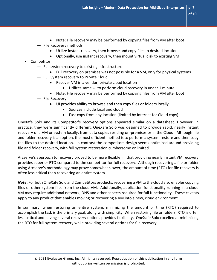- **of 10**
- Note: File recovery may be performed by copying files from VM after boot — File Recovery methods
	- Utilize instant recovery, then browse and copy files to desired location
	- Optionally, use instant recovery, then mount virtual disk to existing VM
- Competitor:
	- Full system recovery to existing infrastructure
		- Full recovery on premises was not possible for a VM, only for physical systems
	- Full System recovery to Private Cloud
		- Recover VM in a vendor, private cloud location
			- Utilizes same UI to perform cloud recovery in under 1 minute
		- Note: File recovery may be performed by copying files from VM after boot

— File Recovery

- UI provides ability to browse and then copy files or folders locally
	- Sources include local and cloud
	- Fast copy from any location (limited by Internet for Cloud copy)

OneXafe Solo and its Competitor's recovery options appeared similar on a datasheet. However, in practice, they were significantly different. OneXafe Solo was designed to provide rapid, nearly instant recovery of a VM or system locally, from data copies residing on-premises or in the Cloud. Although file and folder recovery is an option, the most efficient method is to perform a system restore and then copy the files to the desired location. In contrast the competitors design seems optimized around providing file and folder recovery, with full system restoration cumbersome or limited.

Arcserve's approach to recovery proved to be more flexible, in that providing nearly instant VM recovery provides superior RTO compared to the competitor for full recovery. Although recovering a file or folder using Arcserve's methodology may prove somewhat slower, the amount of time (RTO) for file recovery is often less critical than recovering an entire system.

*Note*: For both OneXafe Solo and Competitors products, recovering a VM to the cloud also enables copying files or other system files from the cloud VM. Additionally, application functionality running in a cloud VM may require additional network, DNS and other aspects required for full functionality. These caveats apply to any product that enables moving or recovering a VM into a new, cloud environment.

In summary, when restoring an entire system, minimizing the amount of time (RTO) required to accomplish the task is the primary goal, along with simplicity. When restoring file or folders, RTO is often less critical and having several recovery options provides flexibility. OneXafe Solo excelled at minimizing the RTO for full system recovery while providing several options for file recovery.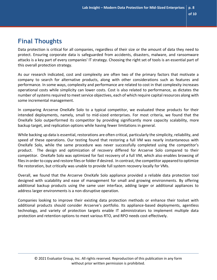# **Final Thoughts**

Data protection is critical for all companies, regardless of their size or the amount of data they need to protect. Ensuring corporate data is safeguarded from accidents, disasters, malware, and ransomware attacks is a key part of every companies' IT strategy. Choosing the right set of tools is an essential part of this overall protection strategy.

As our research indicated, cost and complexity are often two of the primary factors that motivate a company to search for alternative products, along with other considerations such as features and performance. In some ways, complexity and performance are related to cost in that complexity increases operational costs while simplicity can lower costs. Cost is also related to performance, as dictates the number of systems required to meet service objectives, each of which require capital resources along with some incremental management.

In comparing Arcserve OneXafe Solo to a typical competitor, we evaluated these products for their intended deployments, namely, small to mid-sized enterprises. For most criteria, we found that the OneXafe Solo outperformed its competitor by providing significantly more capacity scalability, more backup target, and replication options while having fewer limitations in general.

While backing up data is essential, restorations are often critical, particularly the simplicity, reliability, and speed of these operations. Our testing found that restoring a full VM was nearly instantaneous with OneXafe Solo, while the same procedure was never successfully completed using the competitor's product. The design and optimization of recovery differed for Arcserve Solo compared to their competitor. OneXafe Solo was optimized for fast recovery of a full VM, which also enables browsing of files in order to copy and restore files or folder if desired. In contrast, the competitor appeared to optimize file restoration, but critically was unable to provide full system recovery locally for VMs.

Overall, we found that the Arcserve OneXafe Solo appliance provided a reliable data protection tool designed with scalability and ease of management for small and growing environments. By offering additional backup products using the same user interface, adding larger or additional appliances to address larger environments is a non-disruptive operation.

Companies looking to improve their existing data protection methods or enhance their toolset with additional products should consider Arcserve's portfolio. Its appliance-based deployments, agentless technology, and variety of protection targets enable IT administrators to implement multiple data protection and retention options to meet various RTO, and RPO needs cost-effectively.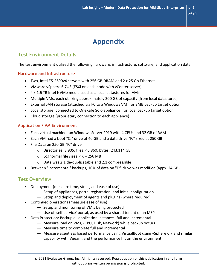# **Appendix**

# **Test Environment Details**

The test environment utilized the following hardware, infrastructure, software, and application data.

#### **Hardware and Infrastructure**

- Two, Intel E5-2699v4 servers with 256 GB DRAM and 2 x 25 Gb Ethernet
- VMware vSphere 6.7U3 (ESXi on each node with vCenter server)
- 4 x 1.6 TB Intel NVMe media used as a local datastores for VMs
- Multiple VMs, each utilizing approximately 300 GB of capacity (from local datastores)
- External SAN storage (attached via FC to a Windows VM) for SMB backup target option
- Local storage (connected to OneXafe Solo appliance) for local backup target option
- Cloud storage (proprietary connection to each appliance)

#### **Application / VM Environment**

- Each virtual machine ran Windows Server 2019 with 4 CPUs and 32 GB of RAM
- Each VM had a boot "C:" drive of 40 GB and a data drive "F:" sized at 250 GB
- File Data on 250 GB "F:" drive
	- o Directories: 3,905; files: 46,860; bytes: 243.114 GB
	- $\circ$  Lognormal file sizes:  $4K 256 MB$
	- o Data was 2:1 de-duplicatable and 2:1 compressible
- Between "incremental" backups, 10% of data on "F:" drive was modified (appx. 24 GB)

### **Test Overview**

- **Deployment (measure time, steps, and ease of use):** 
	- Setup of appliances, portal registration, and initial configuration
	- Setup and deployment of agents and plugins (where required)
- **Continued operations (measure ease of use)** 
	- Setup and monitoring of VM's being protected
	- Use of 'self-service' portal, as used by a shared tenant of an MSP
- Data Protection: Backup all application instances, full and incremental
	- Measure load on VMs, (CPU, Disk, Network) while backup occurs
	- Measure time to complete full and incremental
	- Measure agentless based performance using VirtualBoot using vSphere 6.7 and similar capability with Veeam, and the performance hit on the environment.